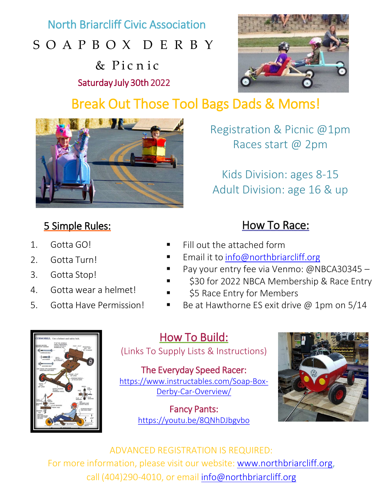North Briarcliff Civic Association

## SOAPBOX DERBY

& Pic n i c Saturday July 30th 2022



# Break Out Those Tool Bags Dads & Moms!



## 5 Simple Rules:

- 1. Gotta GO!
- 2. Gotta Turn!
- 3. Gotta Stop!
- 4. Gotta wear a helmet!
- 5. Gotta Have Permission!

Registration & Picnic @1pm Races start @ 2pm

Kids Division: ages 8-15 Adult Division: age 16 & up

## How To Race:

- Fill out the attached form
- Email it to [info@northbriarcliff.org](mailto:info@northbriarcliff.org)
- Pay your entry fee via Venmo: @NBCA30345
	- \$30 for 2022 NBCA Membership & Race Entry
- \$5 Race Entry for Members
- Be at Hawthorne ES exit drive @ 1pm on 5/14



## How To Build:

(Links To Supply Lists & Instructions)

The Everyday Speed Racer: [https://www.instructables.com/Soap-Box-](https://www.instructables.com/Soap-Box-Derby-Car-Overview/)Derby-Car-Overview/

> Fancy Pants: <https://youtu.be/8QNhDJbgvbo>



ADVANCED REGISTRATION IS REQUIRED:

For more information, please visit our website: [www.northbriarcliff.org](http://www.northbriarcliff.org/), call (404)290-4010, or email [info@northbriarcliff.org](mailto:info@northbriarcliff.org)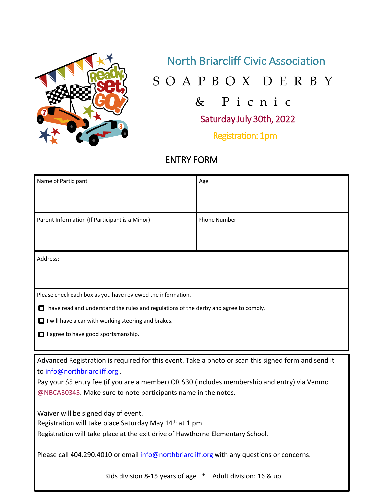

### North Briarcliff Civic Association

SOAPBOX DERBY

& Picnic

Saturday July 30th, 2022

Registration: 1pm

### ENTRY FORM

| Name of Participant                                                                                 | Age                 |
|-----------------------------------------------------------------------------------------------------|---------------------|
|                                                                                                     |                     |
|                                                                                                     |                     |
| Parent Information (If Participant is a Minor):                                                     | <b>Phone Number</b> |
|                                                                                                     |                     |
|                                                                                                     |                     |
|                                                                                                     |                     |
| Address:                                                                                            |                     |
|                                                                                                     |                     |
|                                                                                                     |                     |
| Please check each box as you have reviewed the information.                                         |                     |
|                                                                                                     |                     |
| $\Box$ I have read and understand the rules and regulations of the derby and agree to comply.       |                     |
| $\Box$ I will have a car with working steering and brakes.                                          |                     |
| I agree to have good sportsmanship.                                                                 |                     |
|                                                                                                     |                     |
| Advanced Registration is required for this event. Take a photo or scan this signed form and send it |                     |
| to info@northbriarcliff.org.                                                                        |                     |
| Pay your \$5 entry fee (if you are a member) OR \$30 (includes membership and entry) via Venmo      |                     |
|                                                                                                     |                     |
| @NBCA30345. Make sure to note participants name in the notes.                                       |                     |
| Waiver will be signed day of event.                                                                 |                     |
| Registration will take place Saturday May 14 <sup>th</sup> at 1 pm                                  |                     |
| Registration will take place at the exit drive of Hawthorne Elementary School.                      |                     |
|                                                                                                     |                     |
| Please call 404.290.4010 or email info@northbriarcliff.org with any questions or concerns.          |                     |
|                                                                                                     |                     |
| Kids division 8-15 years of age * Adult division: 16 & up                                           |                     |